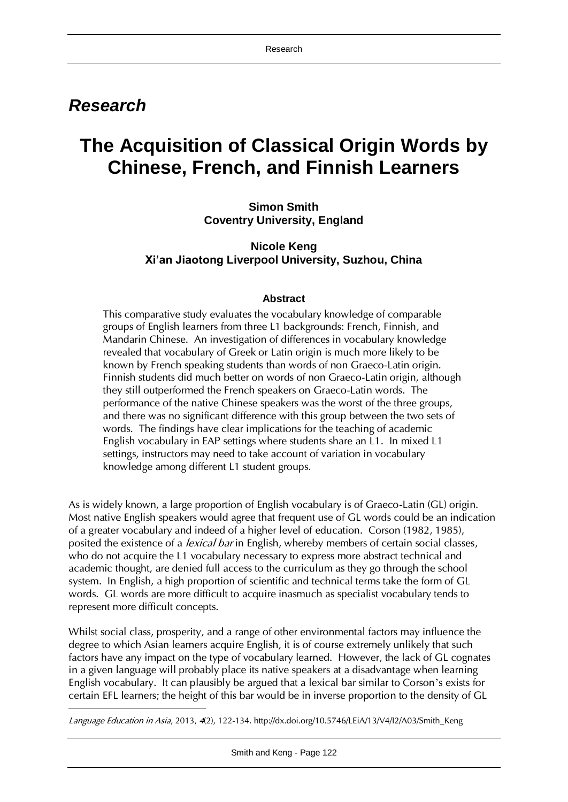# *Research*

 $\overline{\phantom{a}}$ 

# **The Acquisition of Classical Origin Words by Chinese, French, and Finnish Learners**

**Simon Smith Coventry University, England**

**Nicole Keng Xi'an Jiaotong Liverpool University, Suzhou, China**

# **Abstract**

This comparative study evaluates the vocabulary knowledge of comparable groups of English learners from three L1 backgrounds: French, Finnish, and Mandarin Chinese. An investigation of differences in vocabulary knowledge revealed that vocabulary of Greek or Latin origin is much more likely to be known by French speaking students than words of non Graeco-Latin origin. Finnish students did much better on words of non Graeco-Latin origin, although they still outperformed the French speakers on Graeco-Latin words. The performance of the native Chinese speakers was the worst of the three groups, and there was no significant difference with this group between the two sets of words. The findings have clear implications for the teaching of academic English vocabulary in EAP settings where students share an L1. In mixed L1 settings, instructors may need to take account of variation in vocabulary knowledge among different L1 student groups.

As is widely known, a large proportion of English vocabulary is of Graeco-Latin (GL) origin. Most native English speakers would agree that frequent use of GL words could be an indication of a greater vocabulary and indeed of a higher level of education. Corson (1982, 1985), posited the existence of a *lexical bar* in English, whereby members of certain social classes, who do not acquire the L1 vocabulary necessary to express more abstract technical and academic thought, are denied full access to the curriculum as they go through the school system. In English, a high proportion of scientific and technical terms take the form of GL words. GL words are more difficult to acquire inasmuch as specialist vocabulary tends to represent more difficult concepts.

Whilst social class, prosperity, and a range of other environmental factors may influence the degree to which Asian learners acquire English, it is of course extremely unlikely that such factors have any impact on the type of vocabulary learned. However, the lack of GL cognates in a given language will probably place its native speakers at a disadvantage when learning English vocabulary. It can plausibly be argued that a lexical bar similar to Corson's exists for certain EFL learners; the height of this bar would be in inverse proportion to the density of GL

Language Education in Asia, 2013, 4(2), 122-134. http://dx.doi.org/10.5746/LEiA/13/V4/I2/A03/Smith\_Keng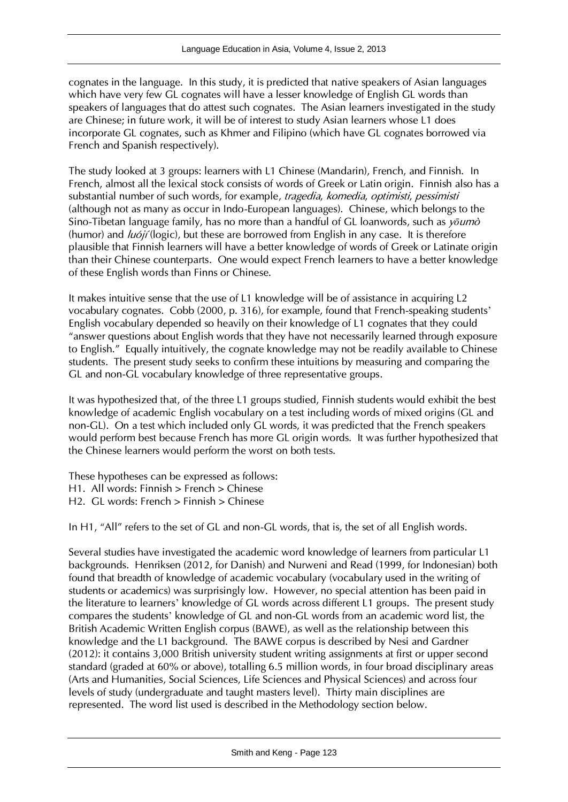cognates in the language. In this study, it is predicted that native speakers of Asian languages which have very few GL cognates will have a lesser knowledge of English GL words than speakers of languages that do attest such cognates. The Asian learners investigated in the study are Chinese; in future work, it will be of interest to study Asian learners whose L1 does incorporate GL cognates, such as Khmer and Filipino (which have GL cognates borrowed via French and Spanish respectively).

The study looked at 3 groups: learners with L1 Chinese (Mandarin), French, and Finnish. In French, almost all the lexical stock consists of words of Greek or Latin origin. Finnish also has a substantial number of such words, for example, tragedia, komedia, optimisti, pessimisti (although not as many as occur in Indo-European languages). Chinese, which belongs to the Sino-Tibetan language family, has no more than a handful of GL loanwords, such as y*ō*umò (humor) and  $\mu$ <sub>0</sub> (logic), but these are borrowed from English in any case. It is therefore plausible that Finnish learners will have a better knowledge of words of Greek or Latinate origin than their Chinese counterparts. One would expect French learners to have a better knowledge of these English words than Finns or Chinese.

It makes intuitive sense that the use of L1 knowledge will be of assistance in acquiring L2 vocabulary cognates. Cobb (2000, p. 316), for example, found that French-speaking students' English vocabulary depended so heavily on their knowledge of L1 cognates that they could "answer questions about English words that they have not necessarily learned through exposure to English." Equally intuitively, the cognate knowledge may not be readily available to Chinese students. The present study seeks to confirm these intuitions by measuring and comparing the GL and non-GL vocabulary knowledge of three representative groups.

It was hypothesized that, of the three L1 groups studied, Finnish students would exhibit the best knowledge of academic English vocabulary on a test including words of mixed origins (GL and non-GL). On a test which included only GL words, it was predicted that the French speakers would perform best because French has more GL origin words. It was further hypothesized that the Chinese learners would perform the worst on both tests.

These hypotheses can be expressed as follows:

H1. All words: Finnish > French > Chinese

H2. GL words: French > Finnish > Chinese

In H1, "All" refers to the set of GL and non-GL words, that is, the set of all English words.

Several studies have investigated the academic word knowledge of learners from particular L1 backgrounds. Henriksen (2012, for Danish) and Nurweni and Read (1999, for Indonesian) both found that breadth of knowledge of academic vocabulary (vocabulary used in the writing of students or academics) was surprisingly low. However, no special attention has been paid in the literature to learners' knowledge of GL words across different L1 groups. The present study compares the students' knowledge of GL and non-GL words from an academic word list, the British Academic Written English corpus (BAWE), as well as the relationship between this knowledge and the L1 background. The BAWE corpus is described by Nesi and Gardner (2012): it contains 3,000 British university student writing assignments at first or upper second standard (graded at 60% or above), totalling 6.5 million words, in four broad disciplinary areas (Arts and Humanities, Social Sciences, Life Sciences and Physical Sciences) and across four levels of study (undergraduate and taught masters level). Thirty main disciplines are represented. The word list used is described in the Methodology section below.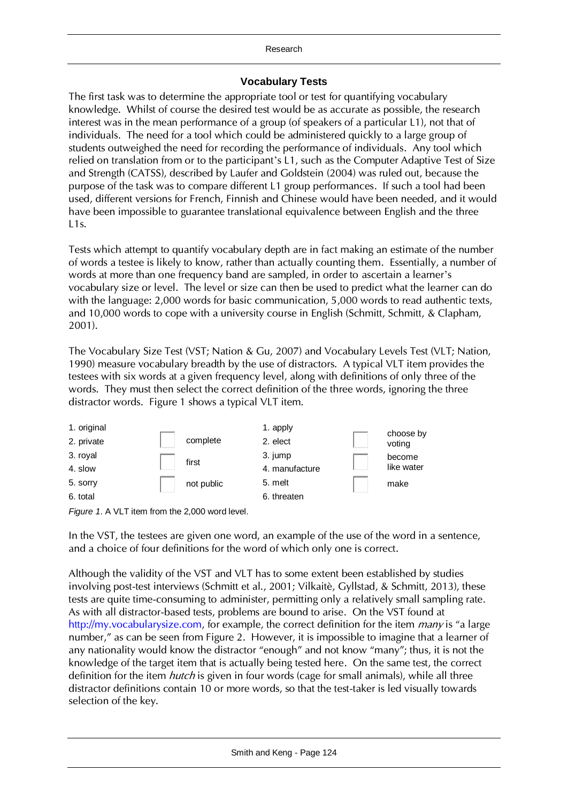#### Research

# **Vocabulary Tests**

The first task was to determine the appropriate tool or test for quantifying vocabulary knowledge. Whilst of course the desired test would be as accurate as possible, the research interest was in the mean performance of a group (of speakers of a particular L1), not that of individuals. The need for a tool which could be administered quickly to a large group of students outweighed the need for recording the performance of individuals. Any tool which relied on translation from or to the participant's L1, such as the Computer Adaptive Test of Size and Strength (CATSS), described by Laufer and Goldstein (2004) was ruled out, because the purpose of the task was to compare different L1 group performances. If such a tool had been used, different versions for French, Finnish and Chinese would have been needed, and it would have been impossible to guarantee translational equivalence between English and the three L1s.

Tests which attempt to quantify vocabulary depth are in fact making an estimate of the number of words a testee is likely to know, rather than actually counting them. Essentially, a number of words at more than one frequency band are sampled, in order to ascertain a learner's vocabulary size or level. The level or size can then be used to predict what the learner can do with the language: 2,000 words for basic communication, 5,000 words to read authentic texts, and 10,000 words to cope with a university course in English (Schmitt, Schmitt, & Clapham, 2001).

The Vocabulary Size Test (VST; Nation & Gu, 2007) and Vocabulary Levels Test (VLT; Nation, 1990) measure vocabulary breadth by the use of distractors. A typical VLT item provides the testees with six words at a given frequency level, along with definitions of only three of the words. They must then select the correct definition of the three words, ignoring the three distractor words. Figure 1 shows a typical VLT item.





In the VST, the testees are given one word, an example of the use of the word in a sentence, and a choice of four definitions for the word of which only one is correct.

Although the validity of the VST and VLT has to some extent been established by studies involving post-test interviews (Schmitt et al., 2001; Vilkaitè, Gyllstad, & Schmitt, 2013), these tests are quite time-consuming to administer, permitting only a relatively small sampling rate. As with all distractor-based tests, problems are bound to arise. On the VST found at [http://my.vocabularysize.com,](http://my.vocabularysize.com/) for example, the correct definition for the item *many* is "a large number," as can be seen from Figure 2. However, it is impossible to imagine that a learner of any nationality would know the distractor "enough" and not know "many"; thus, it is not the knowledge of the target item that is actually being tested here. On the same test, the correct definition for the item *hutch* is given in four words (cage for small animals), while all three distractor definitions contain 10 or more words, so that the test-taker is led visually towards selection of the key.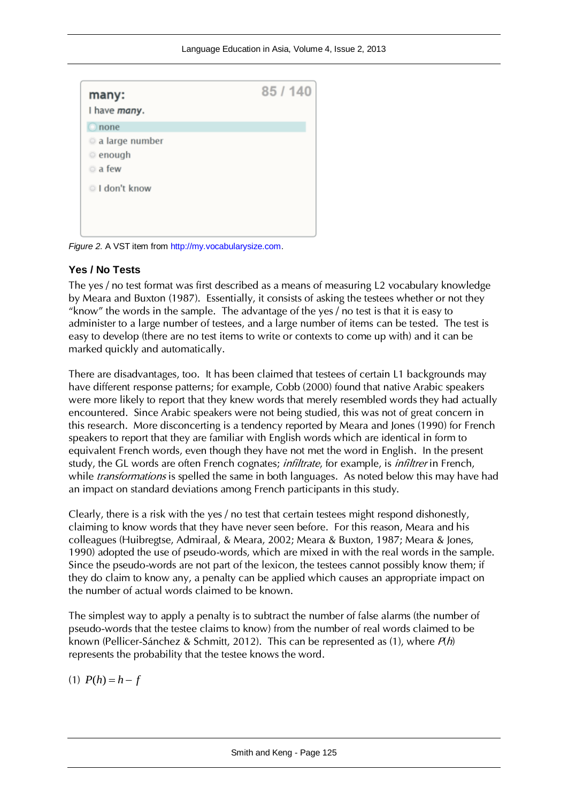| many:<br>I have many. | 85 / 140 |
|-----------------------|----------|
| $\circ$ none          |          |
| a large number        |          |
| enough                |          |
| a few                 |          |
| I don't know          |          |
|                       |          |
|                       |          |

*Figure 2.* A VST item fro[m http://my.vocabularysize.com.](http://my.vocabularysize.com/)

#### **Yes / No Tests**

The yes / no test format was first described as a means of measuring L2 vocabulary knowledge by Meara and Buxton (1987). Essentially, it consists of asking the testees whether or not they "know" the words in the sample. The advantage of the yes / no test is that it is easy to administer to a large number of testees, and a large number of items can be tested. The test is easy to develop (there are no test items to write or contexts to come up with) and it can be marked quickly and automatically.

There are disadvantages, too. It has been claimed that testees of certain L1 backgrounds may have different response patterns; for example, Cobb (2000) found that native Arabic speakers were more likely to report that they knew words that merely resembled words they had actually encountered. Since Arabic speakers were not being studied, this was not of great concern in this research. More disconcerting is a tendency reported by Meara and Jones (1990) for French speakers to report that they are familiar with English words which are identical in form to equivalent French words, even though they have not met the word in English. In the present study, the GL words are often French cognates; *infiltrate*, for example, is *infiltrer* in French, while *transformations* is spelled the same in both languages. As noted below this may have had an impact on standard deviations among French participants in this study.

Clearly, there is a risk with the yes / no test that certain testees might respond dishonestly, claiming to know words that they have never seen before. For this reason, Meara and his colleagues (Huibregtse, Admiraal, & Meara, 2002; Meara & Buxton, 1987; Meara & Jones, 1990) adopted the use of pseudo-words, which are mixed in with the real words in the sample. Since the pseudo-words are not part of the lexicon, the testees cannot possibly know them; if they do claim to know any, a penalty can be applied which causes an appropriate impact on the number of actual words claimed to be known.

The simplest way to apply a penalty is to subtract the number of false alarms (the number of pseudo-words that the testee claims to know) from the number of real words claimed to be known (Pellicer-Sánchez & Schmitt, 2012). This can be represented as (1), where  $P(h)$ represents the probability that the testee knows the word.

(1)  $P(h) = h - f$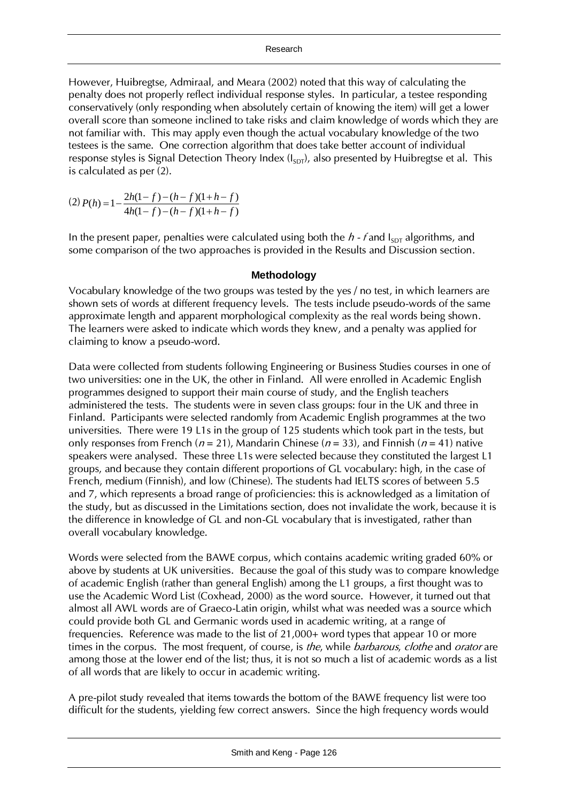However, Huibregtse, Admiraal, and Meara (2002) noted that this way of calculating the penalty does not properly reflect individual response styles. In particular, a testee responding conservatively (only responding when absolutely certain of knowing the item) will get a lower overall score than someone inclined to take risks and claim knowledge of words which they are not familiar with. This may apply even though the actual vocabulary knowledge of the two testees is the same. One correction algorithm that does take better account of individual response styles is Signal Detection Theory Index  $(I_{SDT})$ , also presented by Huibregtse et al. This is calculated as per (2).

(2)  $4h(1-f)-(h-f)(1+h-f)$  $(h) = 1 - \frac{2h(1-f) - (h-f)(1+h-f)}{h}$  $h(1-f)-(h-f)(1+h-f)$  $P(h) = 1 - \frac{2h(1-f) - (h-f)(1+h-f)}{h}$  $-f)-(h-f)(1+h =1-\frac{2h(1-f)-(h-f)(1+h-1)}{h(1+h-1)(h-1)}$ 

In the present paper, penalties were calculated using both the  $h$  - f and  $I_{SDT}$  algorithms, and some comparison of the two approaches is provided in the Results and Discussion section.

#### **Methodology**

Vocabulary knowledge of the two groups was tested by the yes / no test, in which learners are shown sets of words at different frequency levels. The tests include pseudo-words of the same approximate length and apparent morphological complexity as the real words being shown. The learners were asked to indicate which words they knew, and a penalty was applied for claiming to know a pseudo-word.

Data were collected from students following Engineering or Business Studies courses in one of two universities: one in the UK, the other in Finland. All were enrolled in Academic English programmes designed to support their main course of study, and the English teachers administered the tests. The students were in seven class groups: four in the UK and three in Finland. Participants were selected randomly from Academic English programmes at the two universities. There were 19 L1s in the group of 125 students which took part in the tests, but only responses from French ( $n = 21$ ), Mandarin Chinese ( $n = 33$ ), and Finnish ( $n = 41$ ) native speakers were analysed. These three L1s were selected because they constituted the largest L1 groups, and because they contain different proportions of GL vocabulary: high, in the case of French, medium (Finnish), and low (Chinese). The students had IELTS scores of between 5.5 and 7, which represents a broad range of proficiencies: this is acknowledged as a limitation of the study, but as discussed in the Limitations section, does not invalidate the work, because it is the difference in knowledge of GL and non-GL vocabulary that is investigated, rather than overall vocabulary knowledge.

Words were selected from the BAWE corpus, which contains academic writing graded 60% or above by students at UK universities. Because the goal of this study was to compare knowledge of academic English (rather than general English) among the L1 groups, a first thought was to use the Academic Word List (Coxhead, 2000) as the word source. However, it turned out that almost all AWL words are of Graeco-Latin origin, whilst what was needed was a source which could provide both GL and Germanic words used in academic writing, at a range of frequencies. Reference was made to the list of 21,000+ word types that appear 10 or more times in the corpus. The most frequent, of course, is the, while barbarous, clothe and orator are among those at the lower end of the list; thus, it is not so much a list of academic words as a list of all words that are likely to occur in academic writing.

A pre-pilot study revealed that items towards the bottom of the BAWE frequency list were too difficult for the students, yielding few correct answers. Since the high frequency words would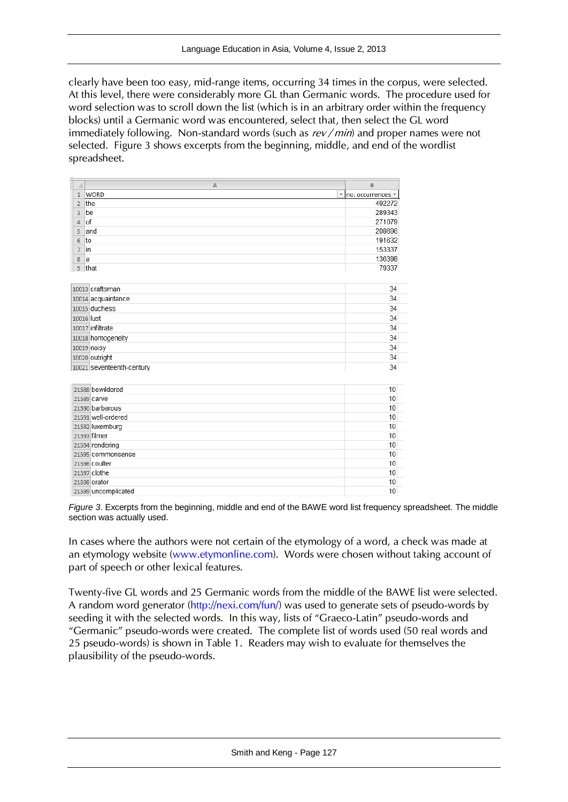clearly have been too easy, mid-range items, occurring 34 times in the corpus, were selected. At this level, there were considerably more GL than Germanic words. The procedure used for word selection was to scroll down the list (which is in an arbitrary order within the frequency blocks) until a Germanic word was encountered, select that, then select the GL word immediately following. Non-standard words (such as  $rev/min$ ) and proper names were not selected. Figure 3 shows excerpts from the beginning, middle, and end of the wordlist spreadsheet.

| ⊿              | A                         | B                                         |
|----------------|---------------------------|-------------------------------------------|
| $\mathbf{1}$   | WORD                      | $\mathbf{v}$ no. occurrences $\mathbf{v}$ |
| $\overline{2}$ | the                       | 492272                                    |
| 3              | be                        | 289343                                    |
| $\overline{4}$ | of                        | 271079                                    |
| 5              | and                       | 208696                                    |
| 6              | to                        | 191632                                    |
| $\overline{7}$ | in                        | 153337                                    |
| 8              | a                         | 136398                                    |
| 9              | that                      | 79337                                     |
|                |                           |                                           |
|                | 10013 craftsman           | 34                                        |
|                | 10014 acquaintance        | 34                                        |
|                | 10015 duchess             | 34                                        |
|                | 10016 lust                | 34                                        |
|                | 10017 infiltrate          | 34                                        |
|                | 10018 homogeneity         | 34                                        |
|                | 10019 noisy               | 34                                        |
|                | 10020 outright            | 34                                        |
|                | 10021 seventeenth-century | 34                                        |
|                |                           |                                           |
|                | 21588 bewildered          | 10                                        |
|                | 21589 carve               | 10                                        |
|                | 21590 barbarous           | 10                                        |
|                | 21591 well-ordered        | 10                                        |
|                | 21592 luxemburg           | 10                                        |
|                | 21593 filmer              | 10                                        |
|                | 21594 rendering           | 10                                        |
|                | 21595 commonsense         | 10                                        |
|                | 21596 coulter             | 10                                        |
|                | 21597 clothe              | 10                                        |
|                | 21598 orator              | 10                                        |
|                | 21599 uncomplicated       | 10                                        |

*Figure 3*. Excerpts from the beginning, middle and end of the BAWE word list frequency spreadsheet. The middle section was actually used.

In cases where the authors were not certain of the etymology of a word, a check was made at an etymology website [\(www.etymonline.com\)](http://www.etymonline.com/). Words were chosen without taking account of part of speech or other lexical features.

Twenty-five GL words and 25 Germanic words from the middle of the BAWE list were selected. A random word generator [\(http://nexi.com/fun/\)](http://nexi.com/fun/) was used to generate sets of pseudo-words by seeding it with the selected words. In this way, lists of "Graeco-Latin" pseudo-words and "Germanic" pseudo-words were created. The complete list of words used (50 real words and 25 pseudo-words) is shown in Table 1. Readers may wish to evaluate for themselves the plausibility of the pseudo-words.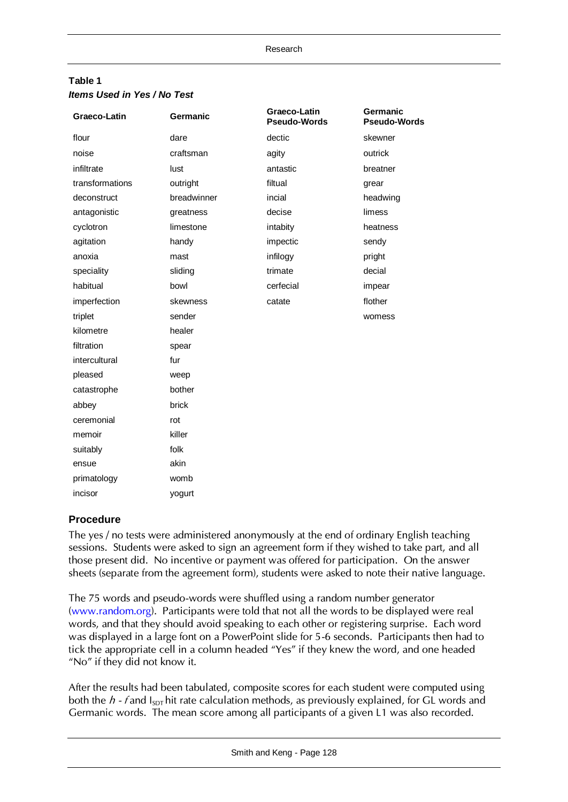#### **Table 1** *Items Used in Yes / No Test*

| Graeco-Latin    | Germanic    | Graeco-Latin<br><b>Pseudo-Words</b> | Germanic<br><b>Pseudo-Words</b> |
|-----------------|-------------|-------------------------------------|---------------------------------|
| flour           | dare        | dectic                              | skewner                         |
| noise           | craftsman   | agity                               | outrick                         |
| infiltrate      | lust        | antastic                            | breatner                        |
| transformations | outright    | filtual                             | grear                           |
| deconstruct     | breadwinner | incial                              | headwing                        |
| antagonistic    | greatness   | decise                              | limess                          |
| cyclotron       | limestone   | intabity                            | heatness                        |
| agitation       | handy       | impectic                            | sendy                           |
| anoxia          | mast        | infilogy                            | pright                          |
| speciality      | sliding     | trimate                             | decial                          |
| habitual        | bowl        | cerfecial                           | impear                          |
| imperfection    | skewness    | catate                              | flother                         |
| triplet         | sender      |                                     | womess                          |
| kilometre       | healer      |                                     |                                 |
| filtration      | spear       |                                     |                                 |
| intercultural   | fur         |                                     |                                 |
| pleased         | weep        |                                     |                                 |
| catastrophe     | bother      |                                     |                                 |
| abbey           | brick       |                                     |                                 |
| ceremonial      | rot         |                                     |                                 |
| memoir          | killer      |                                     |                                 |
| suitably        | folk        |                                     |                                 |
| ensue           | akin        |                                     |                                 |
| primatology     | womb        |                                     |                                 |
| incisor         | yogurt      |                                     |                                 |

# **Procedure**

The yes / no tests were administered anonymously at the end of ordinary English teaching sessions. Students were asked to sign an agreement form if they wished to take part, and all those present did. No incentive or payment was offered for participation. On the answer sheets (separate from the agreement form), students were asked to note their native language.

The 75 words and pseudo-words were shuffled using a random number generator [\(www.random.org\)](http://www.random.org/). Participants were told that not all the words to be displayed were real words, and that they should avoid speaking to each other or registering surprise. Each word was displayed in a large font on a PowerPoint slide for 5-6 seconds. Participants then had to tick the appropriate cell in a column headed "Yes" if they knew the word, and one headed "No" if they did not know it.

After the results had been tabulated, composite scores for each student were computed using both the  $h$  - f and  $I_{\text{SDT}}$  hit rate calculation methods, as previously explained, for GL words and Germanic words. The mean score among all participants of a given L1 was also recorded.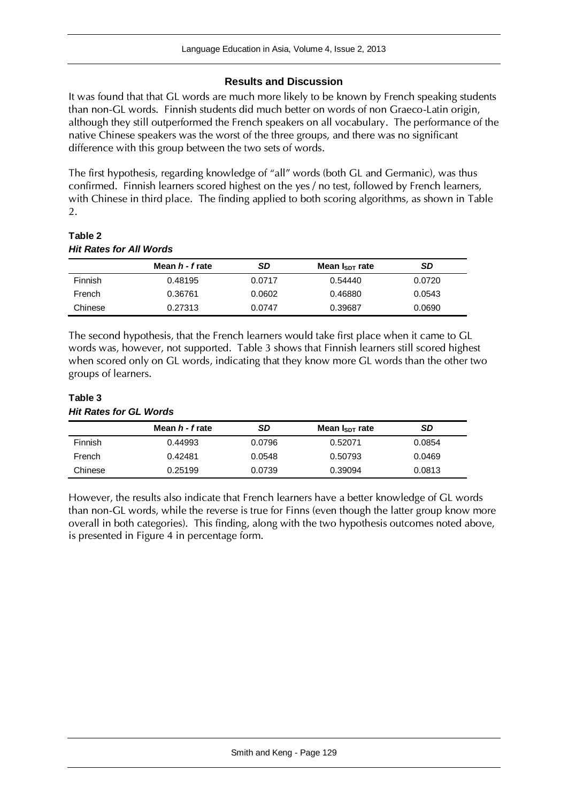#### **Results and Discussion**

It was found that that GL words are much more likely to be known by French speaking students than non-GL words. Finnish students did much better on words of non Graeco-Latin origin, although they still outperformed the French speakers on all vocabulary. The performance of the native Chinese speakers was the worst of the three groups, and there was no significant difference with this group between the two sets of words.

The first hypothesis, regarding knowledge of "all" words (both GL and Germanic), was thus confirmed. Finnish learners scored highest on the yes / no test, followed by French learners, with Chinese in third place. The finding applied to both scoring algorithms, as shown in Table 2.

#### **Table 2** *Hit Rates for All Words*

|                | Mean <i>h - f</i> rate | SD     | Mean $I_{SDT}$ rate | <b>SD</b> |
|----------------|------------------------|--------|---------------------|-----------|
| <b>Finnish</b> | 0.48195                | 0.0717 | 0.54440             | 0.0720    |
| French         | 0.36761                | 0.0602 | 0.46880             | 0.0543    |
| Chinese        | 0.27313                | 0.0747 | 0.39687             | 0.0690    |

The second hypothesis, that the French learners would take first place when it came to GL words was, however, not supported. Table 3 shows that Finnish learners still scored highest when scored only on GL words, indicating that they know more GL words than the other two groups of learners.

#### **Table 3** *Hit Rates for GL Words*

|                | Mean <i>h - f</i> rate | SD     | Mean $I_{SDT}$ rate | SD     |
|----------------|------------------------|--------|---------------------|--------|
| <b>Finnish</b> | 0.44993                | 0.0796 | 0.52071             | 0.0854 |
| French         | 0.42481                | 0.0548 | 0.50793             | 0.0469 |
| Chinese        | 0.25199                | 0.0739 | 0.39094             | 0.0813 |

However, the results also indicate that French learners have a better knowledge of GL words than non-GL words, while the reverse is true for Finns (even though the latter group know more overall in both categories). This finding, along with the two hypothesis outcomes noted above, is presented in Figure 4 in percentage form.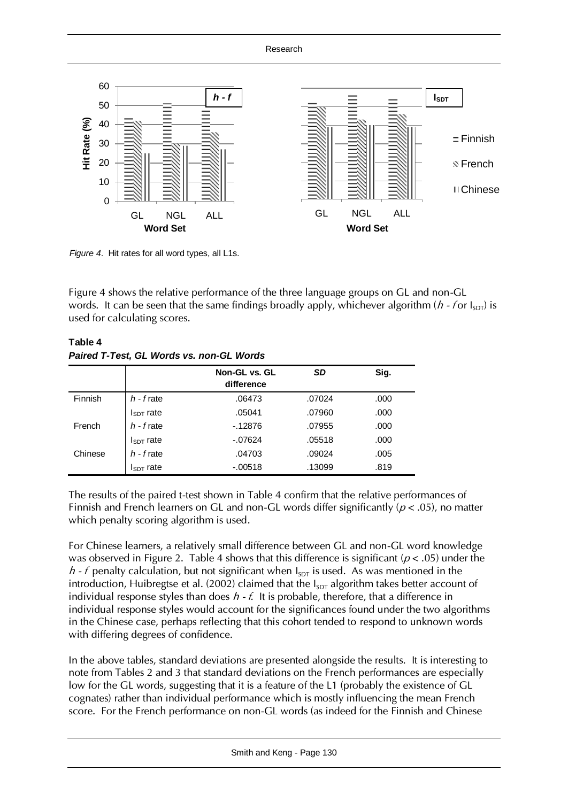

*Figure 4*. Hit rates for all word types, all L1s.

Figure 4 shows the relative performance of the three language groups on GL and non-GL words. It can be seen that the same findings broadly apply, whichever algorithm ( $h$  - for  $I_{SDT}$ ) is used for calculating scores.

|         |                | $1$ and $1$ , tool, we monde to, non-we monde<br>Non-GL vs. GL<br>difference | SD     | Sig. |
|---------|----------------|------------------------------------------------------------------------------|--------|------|
| Finnish | $h$ - $f$ rate | .06473                                                                       | .07024 | .000 |
|         | $I_{SDT}$ rate | .05041                                                                       | .07960 | .000 |
| French  | $h$ - $f$ rate | $-12876$                                                                     | .07955 | .000 |
|         | $I_{SDT}$ rate | $-07624$                                                                     | .05518 | .000 |
| Chinese | $h$ - $f$ rate | .04703                                                                       | .09024 | .005 |
|         | $I_{SDT}$ rate | $-.00518$                                                                    | .13099 | .819 |

# **Table 4** *Paired T-Test, GL Words vs. non-GL Words*

The results of the paired t-test shown in Table 4 confirm that the relative performances of Finnish and French learners on GL and non-GL words differ significantly ( $p < .05$ ), no matter which penalty scoring algorithm is used.

For Chinese learners, a relatively small difference between GL and non-GL word knowledge was observed in Figure 2. Table 4 shows that this difference is significant ( $p < .05$ ) under the  $h$  - f penalty calculation, but not significant when  $I_{SDT}$  is used. As was mentioned in the introduction, Huibregtse et al. (2002) claimed that the  $I_{SDT}$  algorithm takes better account of individual response styles than does  $h - f$ . It is probable, therefore, that a difference in individual response styles would account for the significances found under the two algorithms in the Chinese case, perhaps reflecting that this cohort tended to respond to unknown words with differing degrees of confidence.

In the above tables, standard deviations are presented alongside the results. It is interesting to note from Tables 2 and 3 that standard deviations on the French performances are especially low for the GL words, suggesting that it is a feature of the L1 (probably the existence of GL cognates) rather than individual performance which is mostly influencing the mean French score. For the French performance on non-GL words (as indeed for the Finnish and Chinese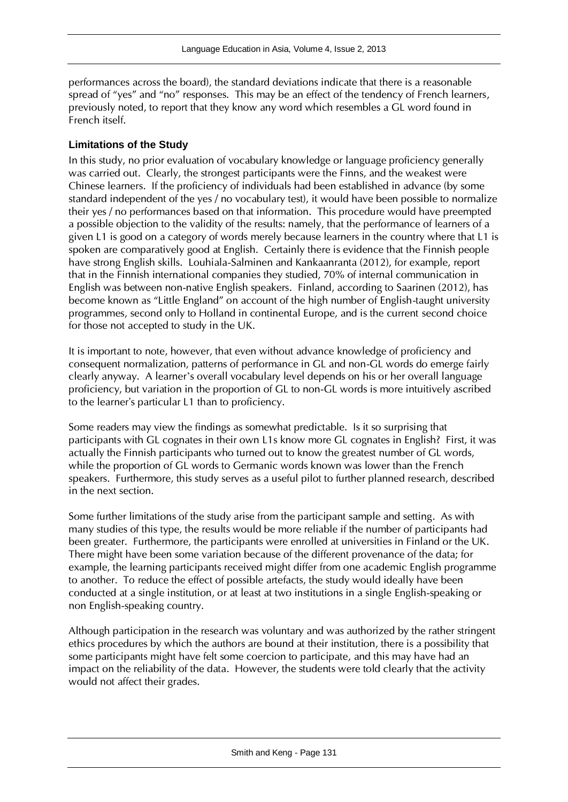performances across the board), the standard deviations indicate that there is a reasonable spread of "yes" and "no" responses. This may be an effect of the tendency of French learners, previously noted, to report that they know any word which resembles a GL word found in French itself.

#### **Limitations of the Study**

In this study, no prior evaluation of vocabulary knowledge or language proficiency generally was carried out. Clearly, the strongest participants were the Finns, and the weakest were Chinese learners. If the proficiency of individuals had been established in advance (by some standard independent of the yes / no vocabulary test), it would have been possible to normalize their yes / no performances based on that information. This procedure would have preempted a possible objection to the validity of the results: namely, that the performance of learners of a given L1 is good on a category of words merely because learners in the country where that L1 is spoken are comparatively good at English. Certainly there is evidence that the Finnish people have strong English skills. Louhiala-Salminen and Kankaanranta (2012), for example, report that in the Finnish international companies they studied, 70% of internal communication in English was between non-native English speakers. Finland, according to Saarinen (2012), has become known as "Little England" on account of the high number of English-taught university programmes, second only to Holland in continental Europe, and is the current second choice for those not accepted to study in the UK.

It is important to note, however, that even without advance knowledge of proficiency and consequent normalization, patterns of performance in GL and non-GL words do emerge fairly clearly anyway. A learner's overall vocabulary level depends on his or her overall language proficiency, but variation in the proportion of GL to non-GL words is more intuitively ascribed to the learner's particular L1 than to proficiency.

Some readers may view the findings as somewhat predictable. Is it so surprising that participants with GL cognates in their own L1s know more GL cognates in English? First, it was actually the Finnish participants who turned out to know the greatest number of GL words, while the proportion of GL words to Germanic words known was lower than the French speakers. Furthermore, this study serves as a useful pilot to further planned research, described in the next section.

Some further limitations of the study arise from the participant sample and setting. As with many studies of this type, the results would be more reliable if the number of participants had been greater. Furthermore, the participants were enrolled at universities in Finland or the UK. There might have been some variation because of the different provenance of the data; for example, the learning participants received might differ from one academic English programme to another. To reduce the effect of possible artefacts, the study would ideally have been conducted at a single institution, or at least at two institutions in a single English-speaking or non English-speaking country.

Although participation in the research was voluntary and was authorized by the rather stringent ethics procedures by which the authors are bound at their institution, there is a possibility that some participants might have felt some coercion to participate, and this may have had an impact on the reliability of the data. However, the students were told clearly that the activity would not affect their grades.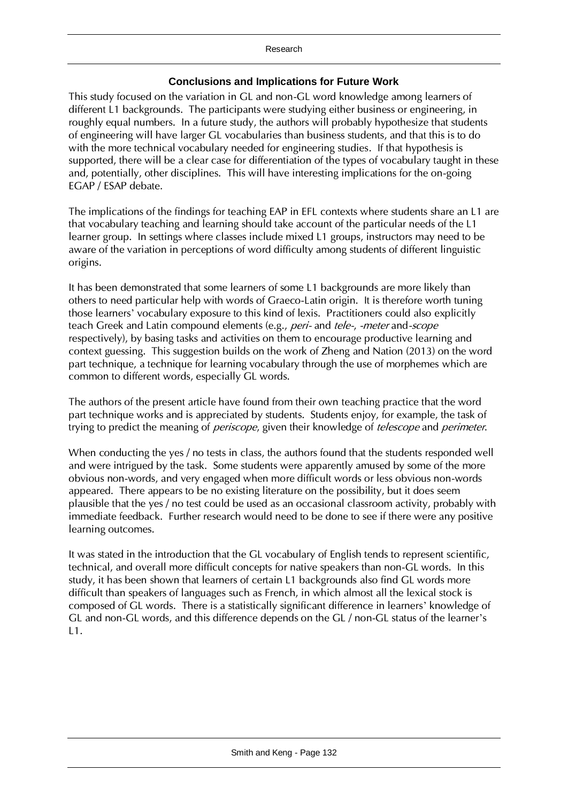# **Conclusions and Implications for Future Work**

This study focused on the variation in GL and non-GL word knowledge among learners of different L1 backgrounds. The participants were studying either business or engineering, in roughly equal numbers. In a future study, the authors will probably hypothesize that students of engineering will have larger GL vocabularies than business students, and that this is to do with the more technical vocabulary needed for engineering studies. If that hypothesis is supported, there will be a clear case for differentiation of the types of vocabulary taught in these and, potentially, other disciplines. This will have interesting implications for the on-going EGAP / ESAP debate.

The implications of the findings for teaching EAP in EFL contexts where students share an L1 are that vocabulary teaching and learning should take account of the particular needs of the L1 learner group. In settings where classes include mixed L1 groups, instructors may need to be aware of the variation in perceptions of word difficulty among students of different linguistic origins.

It has been demonstrated that some learners of some L1 backgrounds are more likely than others to need particular help with words of Graeco-Latin origin. It is therefore worth tuning those learners' vocabulary exposure to this kind of lexis. Practitioners could also explicitly teach Greek and Latin compound elements (e.g., peri- and tele-, -meter and-scope respectively), by basing tasks and activities on them to encourage productive learning and context guessing. This suggestion builds on the work of Zheng and Nation (2013) on the word part technique, a technique for learning vocabulary through the use of morphemes which are common to different words, especially GL words.

The authors of the present article have found from their own teaching practice that the word part technique works and is appreciated by students. Students enjoy, for example, the task of trying to predict the meaning of *periscope*, given their knowledge of *telescope* and *perimeter*.

When conducting the yes / no tests in class, the authors found that the students responded well and were intrigued by the task. Some students were apparently amused by some of the more obvious non-words, and very engaged when more difficult words or less obvious non-words appeared. There appears to be no existing literature on the possibility, but it does seem plausible that the yes / no test could be used as an occasional classroom activity, probably with immediate feedback. Further research would need to be done to see if there were any positive learning outcomes.

It was stated in the introduction that the GL vocabulary of English tends to represent scientific, technical, and overall more difficult concepts for native speakers than non-GL words. In this study, it has been shown that learners of certain L1 backgrounds also find GL words more difficult than speakers of languages such as French, in which almost all the lexical stock is composed of GL words. There is a statistically significant difference in learners' knowledge of GL and non-GL words, and this difference depends on the GL / non-GL status of the learner's L1.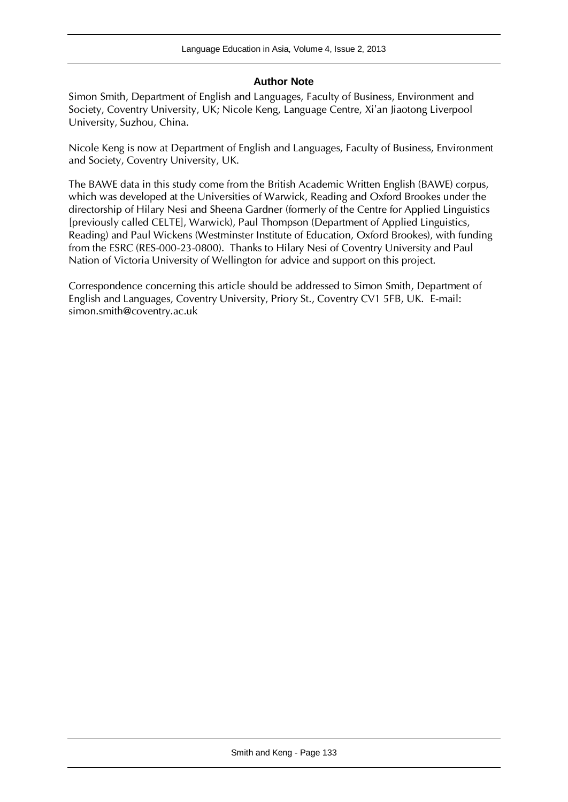## **Author Note**

Simon Smith, Department of English and Languages, Faculty of Business, Environment and Society, Coventry University, UK; Nicole Keng, Language Centre, Xi'an Jiaotong Liverpool University, Suzhou, China.

Nicole Keng is now at Department of English and Languages, Faculty of Business, Environment and Society, Coventry University, UK.

The BAWE data in this study come from the British Academic Written English (BAWE) corpus, which was developed at the Universities of Warwick, Reading and Oxford Brookes under the directorship of Hilary Nesi and Sheena Gardner (formerly of the Centre for Applied Linguistics [previously called CELTE], Warwick), Paul Thompson (Department of Applied Linguistics, Reading) and Paul Wickens (Westminster Institute of Education, Oxford Brookes), with funding from the ESRC (RES-000-23-0800). Thanks to Hilary Nesi of Coventry University and Paul Nation of Victoria University of Wellington for advice and support on this project.

Correspondence concerning this article should be addressed to Simon Smith, Department of English and Languages, Coventry University, Priory St., Coventry CV1 5FB, UK. E-mail: simon.smith@coventry.ac.uk